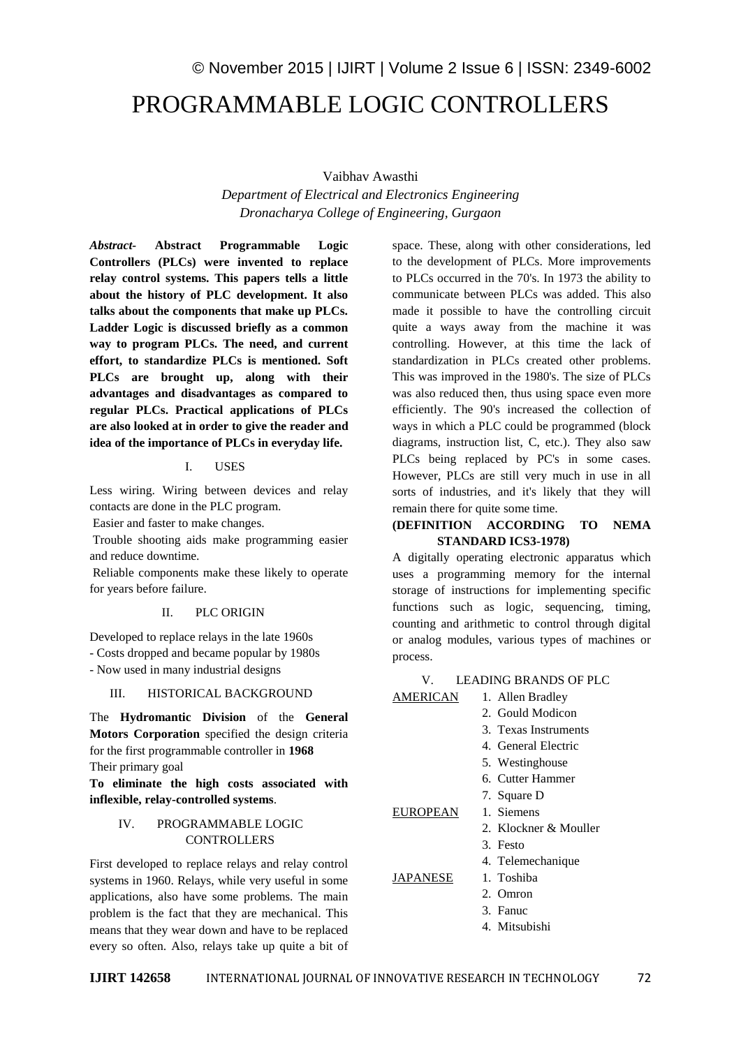# © November 2015 | IJIRT | Volume 2 Issue 6 | ISSN: 2349-6002 PROGRAMMABLE LOGIC CONTROLLERS

Vaibhav Awasthi

*Department of Electrical and Electronics Engineering Dronacharya College of Engineering, Gurgaon*

*Abstract-* **Abstract Programmable Logic Controllers (PLCs) were invented to replace relay control systems. This papers tells a little about the history of PLC development. It also talks about the components that make up PLCs. Ladder Logic is discussed briefly as a common way to program PLCs. The need, and current effort, to standardize PLCs is mentioned. Soft PLCs are brought up, along with their advantages and disadvantages as compared to regular PLCs. Practical applications of PLCs are also looked at in order to give the reader and idea of the importance of PLCs in everyday life.**

#### I. USES

Less wiring. Wiring between devices and relay contacts are done in the PLC program.

Easier and faster to make changes.

Trouble shooting aids make programming easier and reduce downtime.

Reliable components make these likely to operate for years before failure.

#### II. PLC ORIGIN

Developed to replace relays in the late 1960s

- Costs dropped and became popular by 1980s

- Now used in many industrial designs

#### III. HISTORICAL BACKGROUND

The **Hydromantic Division** of the **General Motors Corporation** specified the design criteria for the first programmable controller in **1968** Their primary goal

**To eliminate the high costs associated with inflexible, relay-controlled systems**.

#### IV. PROGRAMMABLE LOGIC **CONTROLLERS**

First developed to replace relays and relay control systems in 1960. Relays, while very useful in some applications, also have some problems. The main problem is the fact that they are mechanical. This means that they wear down and have to be replaced every so often. Also, relays take up quite a bit of space. These, along with other considerations, led to the development of PLCs. More improvements to PLCs occurred in the 70's. In 1973 the ability to communicate between PLCs was added. This also made it possible to have the controlling circuit quite a ways away from the machine it was controlling. However, at this time the lack of standardization in PLCs created other problems. This was improved in the 1980's. The size of PLCs was also reduced then, thus using space even more efficiently. The 90's increased the collection of ways in which a PLC could be programmed (block diagrams, instruction list, C, etc.). They also saw PLCs being replaced by PC's in some cases. However, PLCs are still very much in use in all sorts of industries, and it's likely that they will remain there for quite some time.

#### **(DEFINITION ACCORDING TO NEMA STANDARD ICS3-1978)**

A digitally operating electronic apparatus which uses a programming memory for the internal storage of instructions for implementing specific functions such as logic, sequencing, timing, counting and arithmetic to control through digital or analog modules, various types of machines or process.

#### V. LEADING BRANDS OF PLC

| AMERICAN | 1. Allen Bradley         |
|----------|--------------------------|
|          | 2. Gould Modicon         |
|          | 3. Texas Instruments     |
|          | 4. General Electric      |
|          | 5. Westinghouse          |
|          | 6. Cutter Hammer         |
|          | 7. Square D              |
| EUROPEAN | 1. Siemens               |
|          | 2. Klockner $\&$ Mouller |
|          | 3. Festo                 |
|          | 4. Telemechanique        |
| JAPANESE | 1. Toshiba               |
|          | 2. Omron                 |
|          | 3. Fanuc                 |
|          | 4. Mitsubishi            |
|          |                          |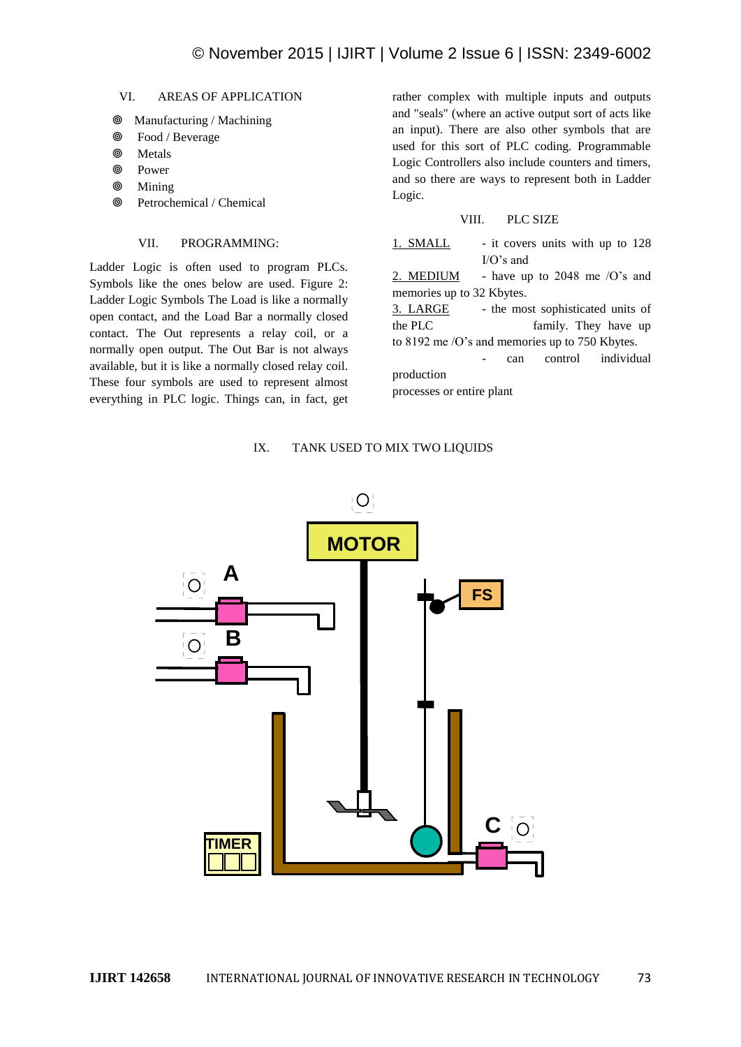#### VI. AREAS OF APPLICATION

- Manufacturing / Machining
- Food / Beverage
- Metals
- Power
- **<sup>O</sup>** Mining
- **<sup>©</sup>** Petrochemical / Chemical

#### VII. PROGRAMMING:

Ladder Logic is often used to program PLCs. Symbols like the ones below are used. Figure 2: Ladder Logic Symbols The Load is like a normally open contact, and the Load Bar a normally closed contact. The Out represents a relay coil, or a normally open output. The Out Bar is not always available, but it is like a normally closed relay coil. These four symbols are used to represent almost everything in PLC logic. Things can, in fact, get rather complex with multiple inputs and outputs and "seals" (where an active output sort of acts like an input). There are also other symbols that are used for this sort of PLC coding. Programmable Logic Controllers also include counters and timers, and so there are ways to represent both in Ladder Logic.

#### VIII. PLC SIZE

1. SMALL - it covers units with up to 128 I/O's and

2. MEDIUM - have up to 2048 me  $\sqrt{O}$ 's and memories up to 32 Kbytes.

3. LARGE - the most sophisticated units of the PLC family. They have up to 8192 me /O's and memories up to 750 Kbytes.

- can control individual production

processes or entire plant

#### IX. TANK USED TO MIX TWO LIQUIDS

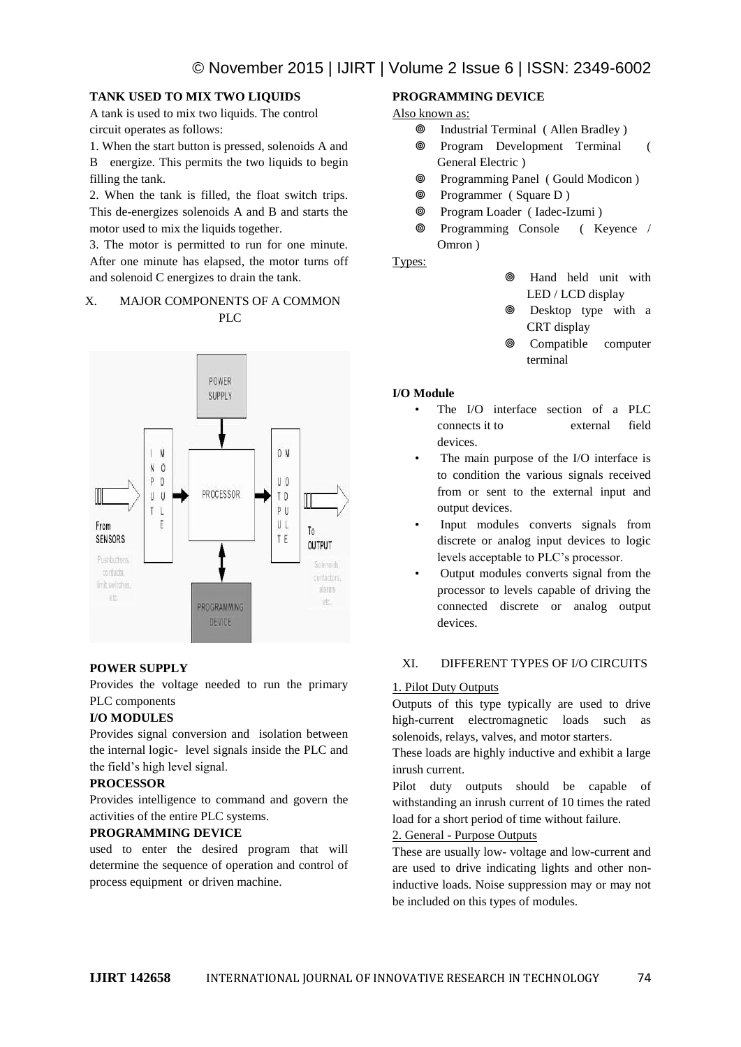#### **TANK USED TO MIX TWO LIQUIDS**

A tank is used to mix two liquids. The control circuit operates as follows:

1. When the start button is pressed, solenoids A and B energize. This permits the two liquids to begin filling the tank.

2. When the tank is filled, the float switch trips. This de-energizes solenoids A and B and starts the motor used to mix the liquids together.

3. The motor is permitted to run for one minute. After one minute has elapsed, the motor turns off and solenoid C energizes to drain the tank.

#### X. MAJOR COMPONENTS OF A COMMON PLC



## **POWER SUPPLY**

Provides the voltage needed to run the primary PLC components

## **I/O MODULES**

Provides signal conversion and isolation between the internal logic- level signals inside the PLC and the field's high level signal.

## **PROCESSOR**

Provides intelligence to command and govern the activities of the entire PLC systems.

#### **PROGRAMMING DEVICE**

used to enter the desired program that will determine the sequence of operation and control of process equipment or driven machine.

#### **PROGRAMMING DEVICE**

#### Also known as:

- Industrial Terminal ( Allen Bradley )
- Program Development Terminal ( General Electric )
- Programming Panel ( Gould Modicon )
- Programmer ( Square D )
- Program Loader ( Iadec-Izumi )
- Programming Console ( Keyence / Omron )

Types:

- Hand held unit with LED / LCD display
- Desktop type with a CRT display
- Compatible computer terminal

#### **I/O Module**

- The I/O interface section of a PLC connects it to external field devices.
- The main purpose of the I/O interface is to condition the various signals received from or sent to the external input and output devices.
- Input modules converts signals from discrete or analog input devices to logic levels acceptable to PLC's processor.
- Output modules converts signal from the processor to levels capable of driving the connected discrete or analog output devices.

## XI. DIFFERENT TYPES OF I/O CIRCUITS

#### 1. Pilot Duty Outputs

Outputs of this type typically are used to drive high-current electromagnetic loads such as solenoids, relays, valves, and motor starters.

These loads are highly inductive and exhibit a large inrush current.

Pilot duty outputs should be capable of withstanding an inrush current of 10 times the rated load for a short period of time without failure.

## 2. General - Purpose Outputs

These are usually low- voltage and low-current and are used to drive indicating lights and other noninductive loads. Noise suppression may or may not be included on this types of modules.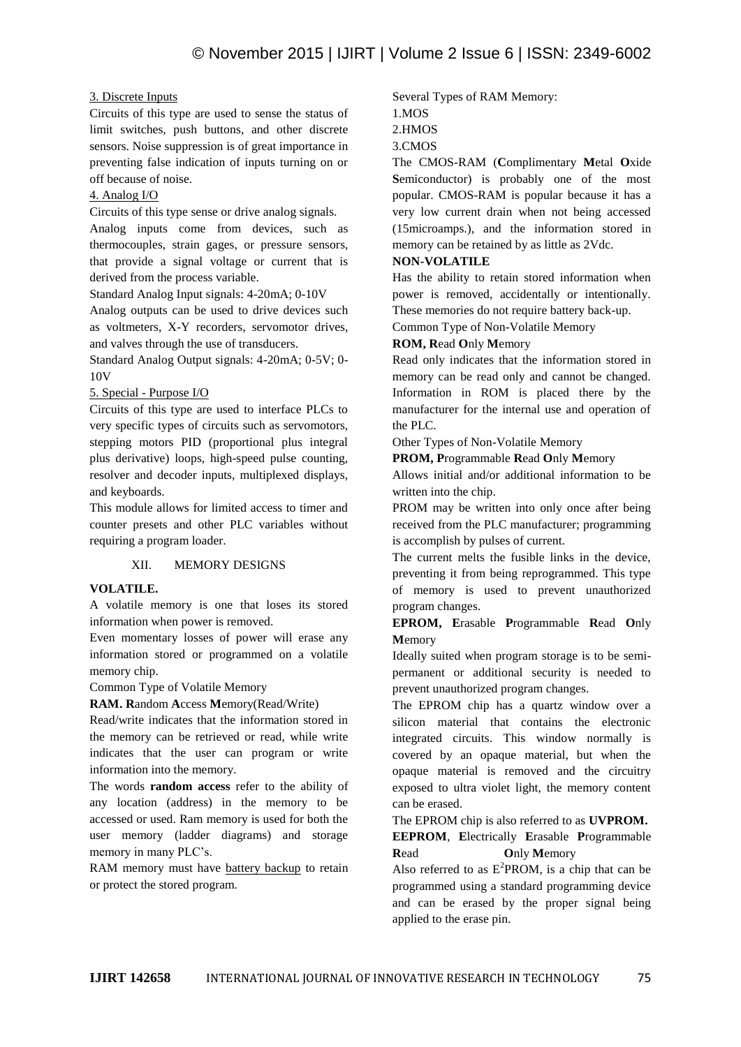#### 3. Discrete Inputs

Circuits of this type are used to sense the status of limit switches, push buttons, and other discrete sensors. Noise suppression is of great importance in preventing false indication of inputs turning on or off because of noise.

#### 4. Analog I/O

Circuits of this type sense or drive analog signals.

Analog inputs come from devices, such as thermocouples, strain gages, or pressure sensors, that provide a signal voltage or current that is derived from the process variable.

Standard Analog Input signals: 4-20mA; 0-10V

Analog outputs can be used to drive devices such as voltmeters, X-Y recorders, servomotor drives, and valves through the use of transducers.

Standard Analog Output signals: 4-20mA; 0-5V; 0- 10V

#### 5. Special - Purpose I/O

Circuits of this type are used to interface PLCs to very specific types of circuits such as servomotors, stepping motors PID (proportional plus integral plus derivative) loops, high-speed pulse counting, resolver and decoder inputs, multiplexed displays, and keyboards.

This module allows for limited access to timer and counter presets and other PLC variables without requiring a program loader.

## XII. MEMORY DESIGNS

## **VOLATILE.**

A volatile memory is one that loses its stored information when power is removed.

Even momentary losses of power will erase any information stored or programmed on a volatile memory chip.

Common Type of Volatile Memory

**RAM. R**andom **A**ccess **M**emory(Read/Write)

Read/write indicates that the information stored in the memory can be retrieved or read, while write indicates that the user can program or write information into the memory.

The words **random access** refer to the ability of any location (address) in the memory to be accessed or used. Ram memory is used for both the user memory (ladder diagrams) and storage memory in many PLC's.

RAM memory must have battery backup to retain or protect the stored program.

Several Types of RAM Memory:

1.MOS

2.HMOS

3.CMOS

The CMOS-RAM (**C**omplimentary **M**etal **O**xide **S**emiconductor) is probably one of the most popular. CMOS-RAM is popular because it has a very low current drain when not being accessed (15microamps.), and the information stored in memory can be retained by as little as 2Vdc.

#### **NON-VOLATILE**

Has the ability to retain stored information when power is removed, accidentally or intentionally. These memories do not require battery back-up.

Common Type of Non-Volatile Memory

## **ROM, R**ead **O**nly **M**emory

Read only indicates that the information stored in memory can be read only and cannot be changed. Information in ROM is placed there by the manufacturer for the internal use and operation of the PLC.

Other Types of Non-Volatile Memory

**PROM, P**rogrammable **R**ead **O**nly **M**emory

Allows initial and/or additional information to be written into the chip.

PROM may be written into only once after being received from the PLC manufacturer; programming is accomplish by pulses of current.

The current melts the fusible links in the device, preventing it from being reprogrammed. This type of memory is used to prevent unauthorized program changes.

**EPROM, E**rasable **P**rogrammable **R**ead **O**nly **M**emory

Ideally suited when program storage is to be semipermanent or additional security is needed to prevent unauthorized program changes.

The EPROM chip has a quartz window over a silicon material that contains the electronic integrated circuits. This window normally is covered by an opaque material, but when the opaque material is removed and the circuitry exposed to ultra violet light, the memory content can be erased.

The EPROM chip is also referred to as **UVPROM.**

**EEPROM**, **E**lectrically **E**rasable **P**rogrammable **R**ead **O**nly **M**emory

Also referred to as  $E^2$ PROM, is a chip that can be programmed using a standard programming device and can be erased by the proper signal being applied to the erase pin.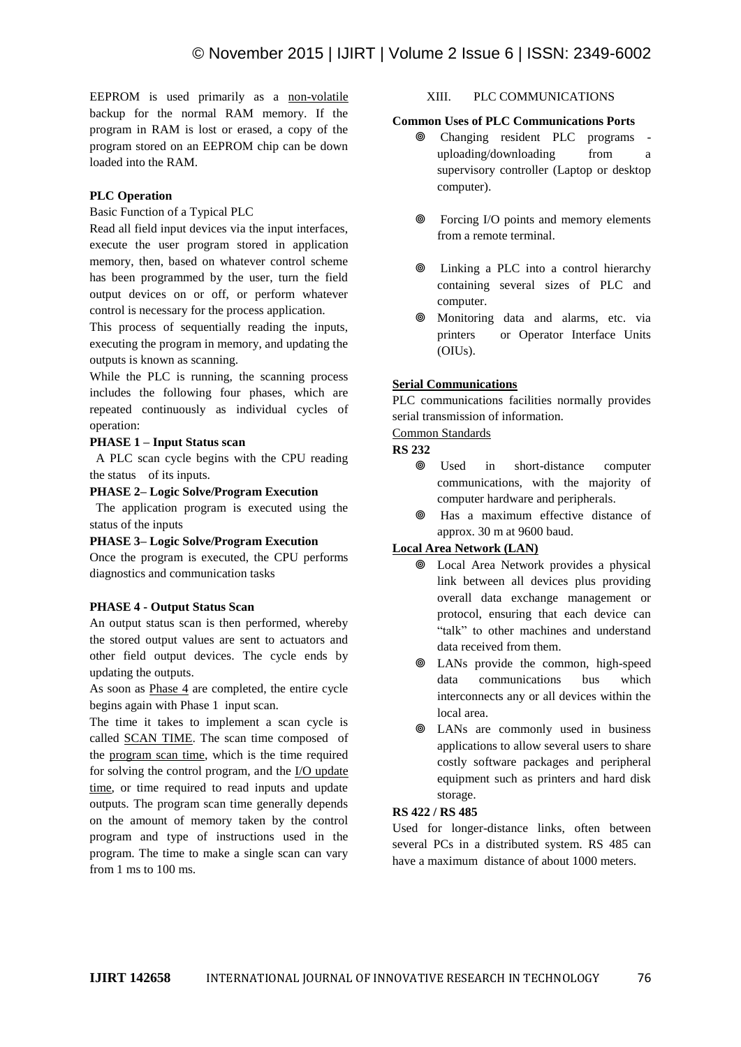EEPROM is used primarily as a non-volatile backup for the normal RAM memory. If the program in RAM is lost or erased, a copy of the program stored on an EEPROM chip can be down loaded into the RAM.

## **PLC Operation**

#### Basic Function of a Typical PLC

Read all field input devices via the input interfaces, execute the user program stored in application memory, then, based on whatever control scheme has been programmed by the user, turn the field output devices on or off, or perform whatever control is necessary for the process application.

This process of sequentially reading the inputs, executing the program in memory, and updating the outputs is known as scanning.

While the PLC is running, the scanning process includes the following four phases, which are repeated continuously as individual cycles of operation:

#### **PHASE 1 – Input Status scan**

 A PLC scan cycle begins with the CPU reading the status of its inputs.

#### **PHASE 2– Logic Solve/Program Execution**

 The application program is executed using the status of the inputs

## **PHASE 3– Logic Solve/Program Execution**

Once the program is executed, the CPU performs diagnostics and communication tasks

## **PHASE 4 - Output Status Scan**

An output status scan is then performed, whereby the stored output values are sent to actuators and other field output devices. The cycle ends by updating the outputs.

As soon as Phase 4 are completed, the entire cycle begins again with Phase 1 input scan.

The time it takes to implement a scan cycle is called SCAN TIME. The scan time composed of the program scan time, which is the time required for solving the control program, and the I/O update time, or time required to read inputs and update outputs. The program scan time generally depends on the amount of memory taken by the control program and type of instructions used in the program. The time to make a single scan can vary from 1 ms to 100 ms.

#### XIII. PLC COMMUNICATIONS

#### **Common Uses of PLC Communications Ports**

- Changing resident PLC programs uploading/downloading from a supervisory controller (Laptop or desktop computer).
	- Forcing I/O points and memory elements from a remote terminal.
	- Linking a PLC into a control hierarchy containing several sizes of PLC and computer.
- Monitoring data and alarms, etc. via printers or Operator Interface Units (OIUs).

## **Serial Communications**

PLC communications facilities normally provides serial transmission of information.

## Common Standards

#### **RS 232**

- Used in short-distance computer communications, with the majority of computer hardware and peripherals.
- Has a maximum effective distance of approx. 30 m at 9600 baud.

## **Local Area Network (LAN)**

- Local Area Network provides a physical link between all devices plus providing overall data exchange management or protocol, ensuring that each device can "talk" to other machines and understand data received from them.
- LANs provide the common, high-speed data communications bus which interconnects any or all devices within the local area.
- LANs are commonly used in business applications to allow several users to share costly software packages and peripheral equipment such as printers and hard disk storage.

## **RS 422 / RS 485**

Used for longer-distance links, often between several PCs in a distributed system. RS 485 can have a maximum distance of about 1000 meters.